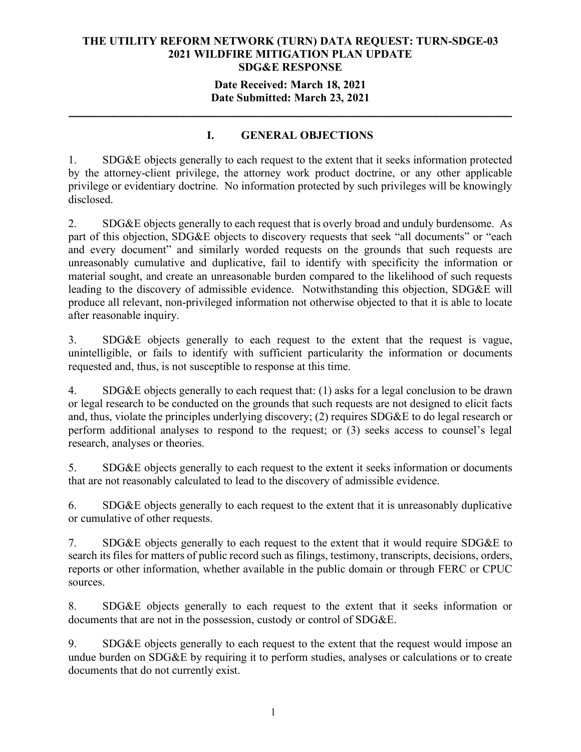## **Date Received: March 18, 2021 Date Submitted: March 23, 2021**

**\_\_\_\_\_\_\_\_\_\_\_\_\_\_\_\_\_\_\_\_\_\_\_\_\_\_\_\_\_\_\_\_\_\_\_\_\_\_\_\_\_\_\_\_\_\_\_\_\_\_\_\_\_\_\_\_\_\_\_\_\_\_\_\_\_\_\_\_\_\_**

## **I. GENERAL OBJECTIONS**

1. SDG&E objects generally to each request to the extent that it seeks information protected by the attorney-client privilege, the attorney work product doctrine, or any other applicable privilege or evidentiary doctrine. No information protected by such privileges will be knowingly disclosed.

2. SDG&E objects generally to each request that is overly broad and unduly burdensome. As part of this objection, SDG&E objects to discovery requests that seek "all documents" or "each and every document" and similarly worded requests on the grounds that such requests are unreasonably cumulative and duplicative, fail to identify with specificity the information or material sought, and create an unreasonable burden compared to the likelihood of such requests leading to the discovery of admissible evidence. Notwithstanding this objection, SDG&E will produce all relevant, non-privileged information not otherwise objected to that it is able to locate after reasonable inquiry.

3. SDG&E objects generally to each request to the extent that the request is vague, unintelligible, or fails to identify with sufficient particularity the information or documents requested and, thus, is not susceptible to response at this time.

4. SDG&E objects generally to each request that: (1) asks for a legal conclusion to be drawn or legal research to be conducted on the grounds that such requests are not designed to elicit facts and, thus, violate the principles underlying discovery; (2) requires SDG&E to do legal research or perform additional analyses to respond to the request; or (3) seeks access to counsel's legal research, analyses or theories.

5. SDG&E objects generally to each request to the extent it seeks information or documents that are not reasonably calculated to lead to the discovery of admissible evidence.

6. SDG&E objects generally to each request to the extent that it is unreasonably duplicative or cumulative of other requests.

7. SDG&E objects generally to each request to the extent that it would require SDG&E to search its files for matters of public record such as filings, testimony, transcripts, decisions, orders, reports or other information, whether available in the public domain or through FERC or CPUC sources.

8. SDG&E objects generally to each request to the extent that it seeks information or documents that are not in the possession, custody or control of SDG&E.

9. SDG&E objects generally to each request to the extent that the request would impose an undue burden on SDG&E by requiring it to perform studies, analyses or calculations or to create documents that do not currently exist.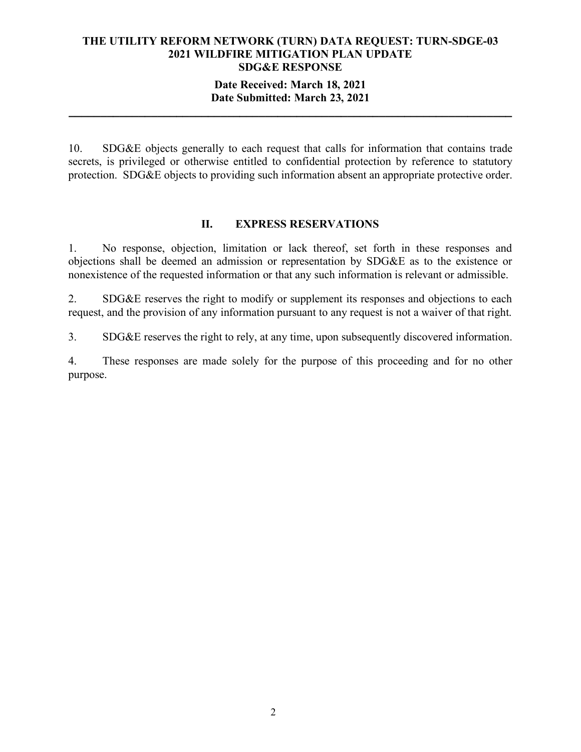#### **Date Received: March 18, 2021 Date Submitted: March 23, 2021**

**\_\_\_\_\_\_\_\_\_\_\_\_\_\_\_\_\_\_\_\_\_\_\_\_\_\_\_\_\_\_\_\_\_\_\_\_\_\_\_\_\_\_\_\_\_\_\_\_\_\_\_\_\_\_\_\_\_\_\_\_\_\_\_\_\_\_\_\_\_\_**

10. SDG&E objects generally to each request that calls for information that contains trade secrets, is privileged or otherwise entitled to confidential protection by reference to statutory protection. SDG&E objects to providing such information absent an appropriate protective order.

#### **II. EXPRESS RESERVATIONS**

1. No response, objection, limitation or lack thereof, set forth in these responses and objections shall be deemed an admission or representation by SDG&E as to the existence or nonexistence of the requested information or that any such information is relevant or admissible.

2. SDG&E reserves the right to modify or supplement its responses and objections to each request, and the provision of any information pursuant to any request is not a waiver of that right.

3. SDG&E reserves the right to rely, at any time, upon subsequently discovered information.

4. These responses are made solely for the purpose of this proceeding and for no other purpose.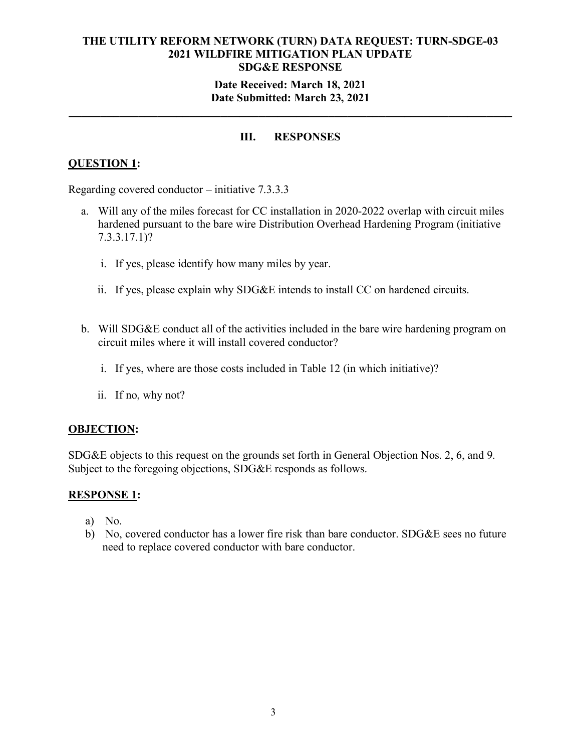## **Date Received: March 18, 2021 Date Submitted: March 23, 2021**

**\_\_\_\_\_\_\_\_\_\_\_\_\_\_\_\_\_\_\_\_\_\_\_\_\_\_\_\_\_\_\_\_\_\_\_\_\_\_\_\_\_\_\_\_\_\_\_\_\_\_\_\_\_\_\_\_\_\_\_\_\_\_\_\_\_\_\_\_\_\_**

## **III. RESPONSES**

## **QUESTION 1:**

Regarding covered conductor – initiative 7.3.3.3

- a. Will any of the miles forecast for CC installation in 2020-2022 overlap with circuit miles hardened pursuant to the bare wire Distribution Overhead Hardening Program (initiative 7.3.3.17.1)?
	- i. If yes, please identify how many miles by year.
	- ii. If yes, please explain why SDG&E intends to install CC on hardened circuits.
- b. Will SDG&E conduct all of the activities included in the bare wire hardening program on circuit miles where it will install covered conductor?
	- i. If yes, where are those costs included in Table 12 (in which initiative)?
	- ii. If no, why not?

#### **OBJECTION:**

SDG&E objects to this request on the grounds set forth in General Objection Nos. 2, 6, and 9. Subject to the foregoing objections, SDG&E responds as follows.

## **RESPONSE 1:**

- a) No.
- b) No, covered conductor has a lower fire risk than bare conductor. SDG&E sees no future need to replace covered conductor with bare conductor.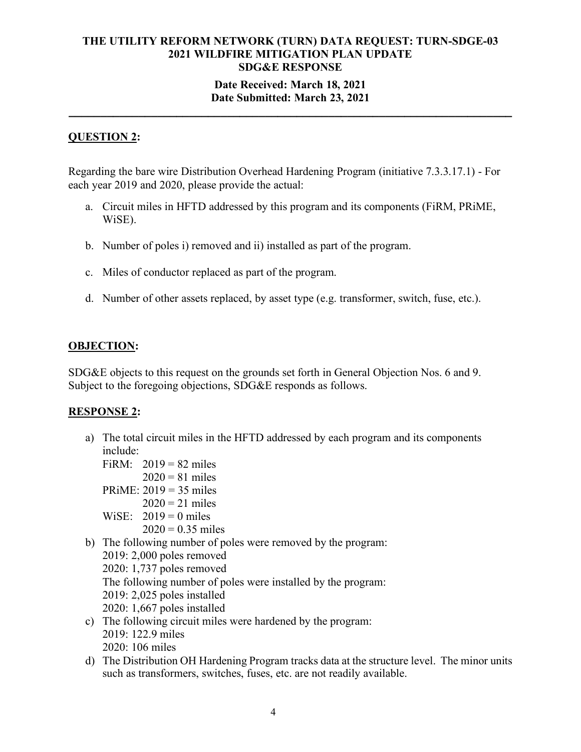## **Date Submitted: March 23, 2021 \_\_\_\_\_\_\_\_\_\_\_\_\_\_\_\_\_\_\_\_\_\_\_\_\_\_\_\_\_\_\_\_\_\_\_\_\_\_\_\_\_\_\_\_\_\_\_\_\_\_\_\_\_\_\_\_\_\_\_\_\_\_\_\_\_\_\_\_\_\_**

## **QUESTION 2:**

Regarding the bare wire Distribution Overhead Hardening Program (initiative 7.3.3.17.1) - For each year 2019 and 2020, please provide the actual:

- a. Circuit miles in HFTD addressed by this program and its components (FiRM, PRiME, WiSE).
- b. Number of poles i) removed and ii) installed as part of the program.
- c. Miles of conductor replaced as part of the program.
- d. Number of other assets replaced, by asset type (e.g. transformer, switch, fuse, etc.).

## **OBJECTION:**

SDG&E objects to this request on the grounds set forth in General Objection Nos. 6 and 9. Subject to the foregoing objections, SDG&E responds as follows.

## **RESPONSE 2:**

- a) The total circuit miles in the HFTD addressed by each program and its components include:
	- FiRM:  $2019 = 82$  miles  $2020 = 81$  miles PRiME: 2019 = 35 miles
		- $2020 = 21$  miles
	- WiSE:  $2019 = 0$  miles
		- $2020 = 0.35$  miles
- b) The following number of poles were removed by the program:
- 2019: 2,000 poles removed 2020: 1,737 poles removed The following number of poles were installed by the program: 2019: 2,025 poles installed 2020: 1,667 poles installed
- c) The following circuit miles were hardened by the program: 2019: 122.9 miles 2020: 106 miles
- d) The Distribution OH Hardening Program tracks data at the structure level. The minor units such as transformers, switches, fuses, etc. are not readily available.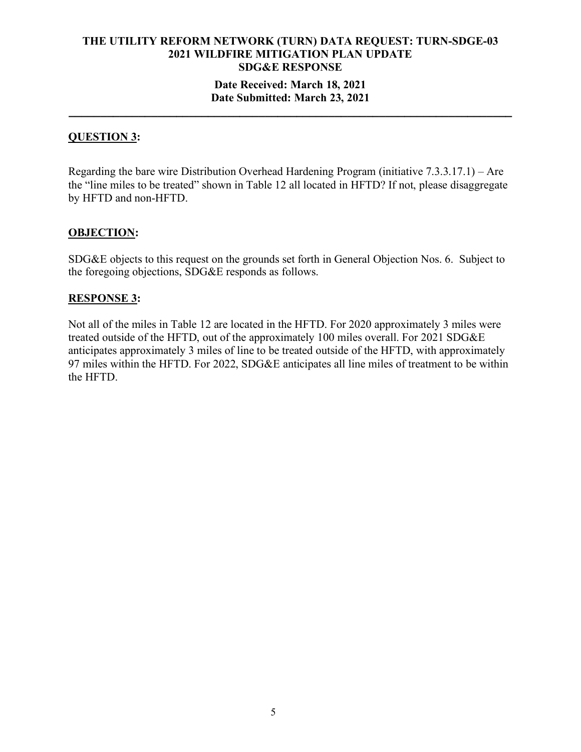# **Date Submitted: March 23, 2021 \_\_\_\_\_\_\_\_\_\_\_\_\_\_\_\_\_\_\_\_\_\_\_\_\_\_\_\_\_\_\_\_\_\_\_\_\_\_\_\_\_\_\_\_\_\_\_\_\_\_\_\_\_\_\_\_\_\_\_\_\_\_\_\_\_\_\_\_\_\_**

## **QUESTION 3:**

Regarding the bare wire Distribution Overhead Hardening Program (initiative 7.3.3.17.1) – Are the "line miles to be treated" shown in Table 12 all located in HFTD? If not, please disaggregate by HFTD and non-HFTD.

## **OBJECTION:**

SDG&E objects to this request on the grounds set forth in General Objection Nos. 6. Subject to the foregoing objections, SDG&E responds as follows.

## **RESPONSE 3:**

Not all of the miles in Table 12 are located in the HFTD. For 2020 approximately 3 miles were treated outside of the HFTD, out of the approximately 100 miles overall. For 2021 SDG&E anticipates approximately 3 miles of line to be treated outside of the HFTD, with approximately 97 miles within the HFTD. For 2022, SDG&E anticipates all line miles of treatment to be within the HFTD.